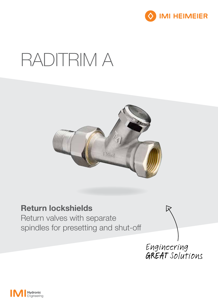

# RADITRIM A



## Return lockshields

Return valves with separate spindles for presetting and shut-off

Engineering<br>GREAT Solutions

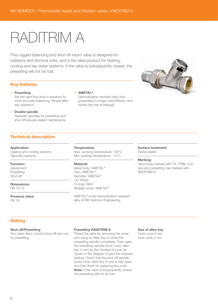# RADITRIM A

This rugged balancing and shut-off return valve is designed for radiators and terminal units, and is the ideal product for heating, cooling and tap water systems. If the valve is subsequently closed, the presetting will not be lost.

### Key features

#### > Presetting

Set the right flow level in advance for more accurate balancing. Simple allen key operation.

#### > Double spindle

Separate spindles for presetting and shut off ensures easier maintenance.

### Technical description

#### Application:

Heating and cooling systems Tapwater systems

#### Function:

Adjustment Presetting Shut-off

Dimensions: DN 10-15

Pressure class: PN 16

## $>$  AMETAL<sup>®</sup>

Dezincification resistant alloy that guarantees a longer valve lifetime, and lowers the risk of leakage.



#### Temperature:

Max. working temperature: 120°C Min. working temperature: -10°C

#### Material:

Valve body: AMETAL® Disc: AMETAL® Spindles: AMETAL® Lid: Brass O-rings: Nitril Straight union: AMETAL®

AMETAL® is the dezincification resistant alloy of IMI Hydronic Engineering.

#### Surface treatment: Nickel-plated.

#### Marking:

Valve body marked with TA, TRIM, inch size and presetting cap marked with RADITRIM A.

## **Setting**

#### Shut-off/Presetting

Two valve discs, one for shut-off and one for presetting.

#### Presetting RADITRIM A

Preset the valve by removing the cover and using an Allen key to close the presetting spindle completely. Then open the presetting spindle (inner cone, allen key 3 mm) by the number of turns as shown in the diagram to give the required setting. Check that the shut-off spindle (outer cone, allen key 4 mm) is fully open, and then finish by replacing the cover. Note: If the valve is subsequently closed, the presetting will not be lost.

Size of allen key Outer cone 4 mm

Inner cone 3 mm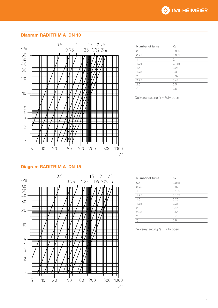## Diagram RADITRIM A DN 10



| <b>Number of turns</b> | Kv    |
|------------------------|-------|
| 0.5                    | 0.035 |
| 0.75                   | 0.065 |
| 1                      | 0.1   |
| 1.25                   | 0.165 |
| 1.5                    | 0.23  |
| 1.75                   | 0.3   |
| 2                      | 0.37  |
| 2.25                   | 0.44  |
| 2.5                    | 0.5   |
| $^{+}$                 | 0.6   |

Deliverey setting  $\check{\phantom{a}}$  = Fully open

#### Diagram RADITRIM A DN 15



| <b>Number of turns</b> | Κv    |
|------------------------|-------|
| 0.5                    | 0.035 |
| 0.75                   | 0.07  |
|                        | 0.105 |
| 1.25                   | 0.165 |
| 1.5                    | 0.25  |
| 1.75                   | 0.33  |
| $\overline{2}$         | 0.44  |
| 2.25                   | 0.55  |
| 2.5                    | 0.78  |
| $\star$                | 0.9   |
|                        |       |

Deliverey setting \*) = Fully open